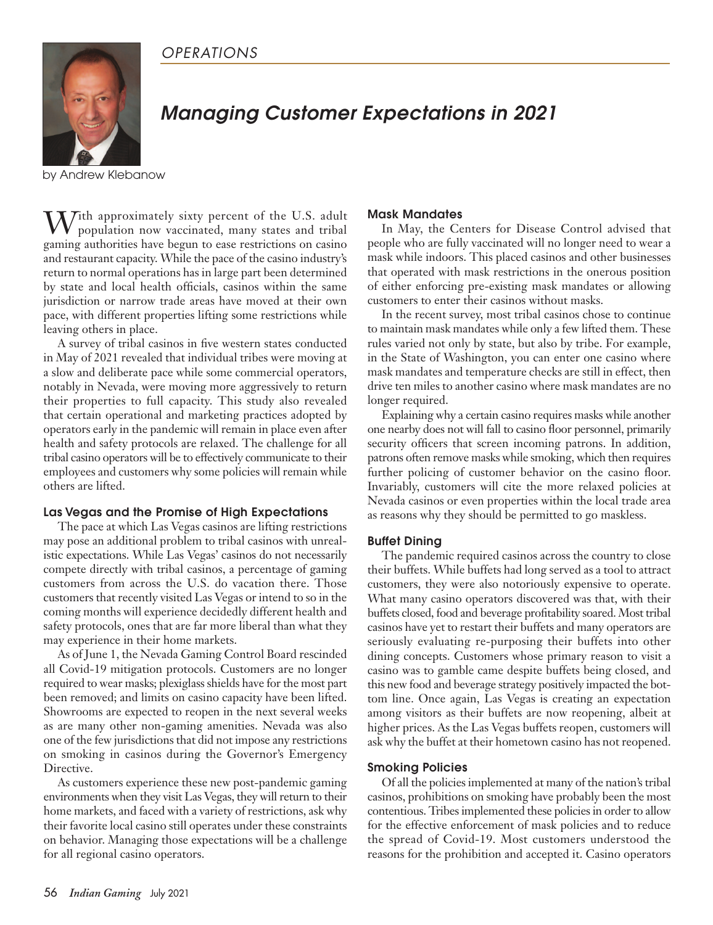

# *Managing Customer Expectations in 2021*

by Andrew Klebanow

Tith approximately sixty percent of the U.S. adult population now vaccinated, many states and tribal gaming authorities have begun to ease restrictions on casino and restaurant capacity. While the pace of the casino industry's return to normal operations has in large part been determined by state and local health officials, casinos within the same jurisdiction or narrow trade areas have moved at their own pace, with different properties lifting some restrictions while leaving others in place.

A survey of tribal casinos in five western states conducted in May of 2021 revealed that individual tribes were moving at a slow and deliberate pace while some commercial operators, notably in Nevada, were moving more aggressively to return their properties to full capacity. This study also revealed that certain operational and marketing practices adopted by operators early in the pandemic will remain in place even after health and safety protocols are relaxed. The challenge for all tribal casino operators will be to effectively communicate to their employees and customers why some policies will remain while others are lifted.

### **Las Vegas and the Promise of High Expectations**

The pace at which Las Vegas casinos are lifting restrictions may pose an additional problem to tribal casinos with unrealistic expectations. While Las Vegas' casinos do not necessarily compete directly with tribal casinos, a percentage of gaming customers from across the U.S. do vacation there. Those customers that recently visited Las Vegas or intend to so in the coming months will experience decidedly different health and safety protocols, ones that are far more liberal than what they may experience in their home markets.

As of June 1, the Nevada Gaming Control Board rescinded all Covid-19 mitigation protocols. Customers are no longer required to wear masks; plexiglass shields have for the most part been removed; and limits on casino capacity have been lifted. Showrooms are expected to reopen in the next several weeks as are many other non-gaming amenities. Nevada was also one of the few jurisdictions that did not impose any restrictions on smoking in casinos during the Governor's Emergency Directive.

As customers experience these new post-pandemic gaming environments when they visit Las Vegas, they will return to their home markets, and faced with a variety of restrictions, ask why their favorite local casino still operates under these constraints on behavior. Managing those expectations will be a challenge for all regional casino operators.

### **Mask Mandates**

In May, the Centers for Disease Control advised that people who are fully vaccinated will no longer need to wear a mask while indoors. This placed casinos and other businesses that operated with mask restrictions in the onerous position of either enforcing pre-existing mask mandates or allowing customers to enter their casinos without masks.

In the recent survey, most tribal casinos chose to continue to maintain mask mandates while only a few lifted them. These rules varied not only by state, but also by tribe. For example, in the State of Washington, you can enter one casino where mask mandates and temperature checks are still in effect, then drive ten miles to another casino where mask mandates are no longer required.

Explaining why a certain casino requires masks while another one nearby does not will fall to casino floor personnel, primarily security officers that screen incoming patrons. In addition, patrons often remove masks while smoking, which then requires further policing of customer behavior on the casino floor. Invariably, customers will cite the more relaxed policies at Nevada casinos or even properties within the local trade area as reasons why they should be permitted to go maskless.

### **Buffet Dining**

The pandemic required casinos across the country to close their buffets. While buffets had long served as a tool to attract customers, they were also notoriously expensive to operate. What many casino operators discovered was that, with their buffets closed, food and beverage profitability soared. Most tribal casinos have yet to restart their buffets and many operators are seriously evaluating re-purposing their buffets into other dining concepts. Customers whose primary reason to visit a casino was to gamble came despite buffets being closed, and this new food and beverage strategy positively impacted the bottom line. Once again, Las Vegas is creating an expectation among visitors as their buffets are now reopening, albeit at higher prices. As the Las Vegas buffets reopen, customers will ask why the buffet at their hometown casino has not reopened.

### **Smoking Policies**

Of all the policies implemented at many of the nation's tribal casinos, prohibitions on smoking have probably been the most contentious. Tribes implemented these policies in order to allow for the effective enforcement of mask policies and to reduce the spread of Covid-19. Most customers understood the reasons for the prohibition and accepted it. Casino operators